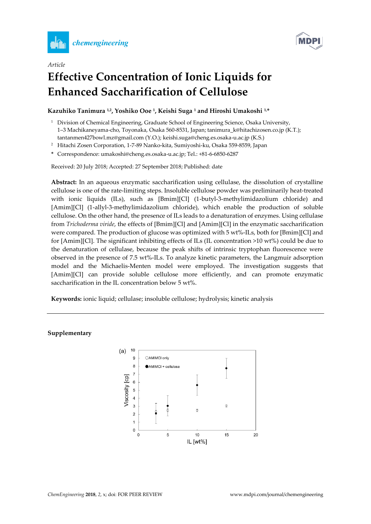



## *Article* **Effective Concentration of Ionic Liquids for Enhanced Saccharification of Cellulose**

## **Kazuhiko Tanimura 1,2 , Yoshiko Ooe <sup>1</sup> , Keishi Suga <sup>1</sup> and Hiroshi Umakoshi 1,\***

- <sup>1</sup> Division of Chemical Engineering, Graduate School of Engineering Science, Osaka University, 1–3 Machikaneyama-cho, Toyonaka, Osaka 560-8531, Japan; tanimura\_k@hitachizosen.co.jp (K.T.); tantanmen427bowl.mz@gmail.com (Y.O.); keishi.suga@cheng.es.osaka-u.ac.jp (K.S.)
- <sup>2</sup> Hitachi Zosen Corporation, 1-7-89 Nanko-kita, Sumiyoshi-ku, Osaka 559-8559, Japan
- **\*** Correspondence: umakoshi@cheng.es.osaka-u.ac.jp; Tel.: +81-6-6850-6287

Received: 20 July 2018; Accepted: 27 September 2018; Published: date

**Abstract:** In an aqueous enzymatic saccharification using cellulase, the dissolution of crystalline cellulose is one of the rate-limiting steps. Insoluble cellulose powder was preliminarily heat-treated with ionic liquids (ILs), such as [Bmim][Cl] (1-butyl-3-methylimidazolium chloride) and [Amim][Cl] (1-allyl-3-methylimidazolium chloride), which enable the production of soluble cellulose. On the other hand, the presence of ILs leads to a denaturation of enzymes. Using cellulase from *Trichoderma viride*, the effects of [Bmim][Cl] and [Amim][Cl] in the enzymatic saccharification were compared. The production of glucose was optimized with 5 wt%-ILs, both for [Bmim][Cl] and for [Amim][Cl]. The significant inhibiting effects of ILs (IL concentration >10 wt%) could be due to the denaturation of cellulase, because the peak shifts of intrinsic tryptophan fluorescence were observed in the presence of 7.5 wt%-ILs. To analyze kinetic parameters, the Langmuir adsorption model and the Michaelis-Menten model were employed. The investigation suggests that [Amim][Cl] can provide soluble cellulose more efficiently, and can promote enzymatic saccharification in the IL concentration below 5 wt%.

**Keywords:** ionic liquid; cellulase; insoluble cellulose; hydrolysis; kinetic analysis

## **Supplementary**

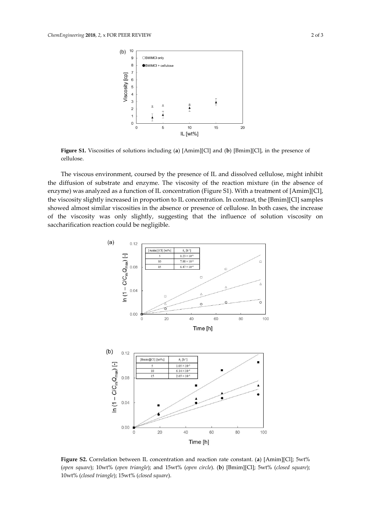

**Figure S1.** Viscosities of solutions including (**a**) [Amim][Cl] and (**b**) [Bmim][Cl], in the presence of cellulose.

The viscous environment, coursed by the presence of IL and dissolved cellulose, might inhibit the diffusion of substrate and enzyme. The viscosity of the reaction mixture (in the absence of enzyme) was analyzed as a function of IL concentration (Figure S1). With a treatment of [Amim][Cl], the viscosity slightly increased in proportion to IL concentration. In contrast, the [Bmim][Cl] samples showed almost similar viscosities in the absence or presence of cellulose. In both cases, the increase of the viscosity was only slightly, suggesting that the influence of solution viscosity on saccharification reaction could be negligible.



**Figure S2.** Correlation between IL concentration and reaction rate constant. (**a**) [Amim][Cl]; 5wt% (*open square*); 10wt% (*open triangle*); and 15wt% (*open circle*). (**b**) [Bmim][Cl]; 5wt% (*closed square*); 10wt% (*closed triangle*); 15wt% (*closed square*).